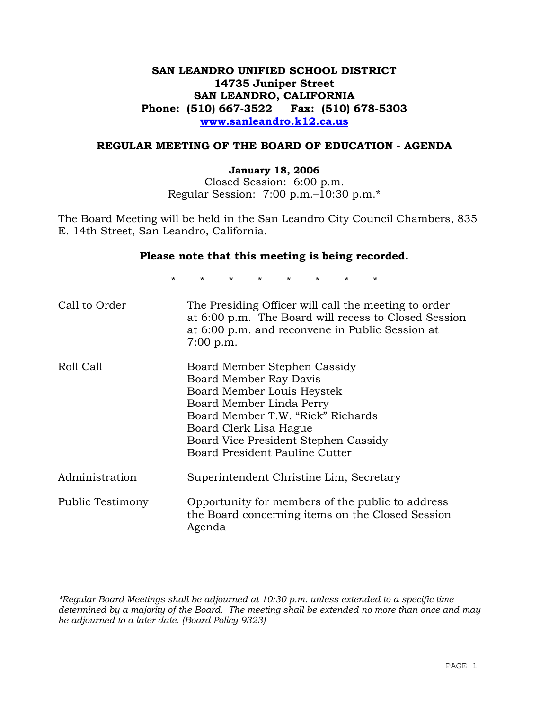# **SAN LEANDRO UNIFIED SCHOOL DISTRICT 14735 Juniper Street SAN LEANDRO, CALIFORNIA Phone: (510) 667-3522 Fax: (510) 678-5303 www.sanleandro.k12.ca.us**

# **REGULAR MEETING OF THE BOARD OF EDUCATION - AGENDA**

#### **January 18, 2006**

Closed Session: 6:00 p.m. Regular Session: 7:00 p.m.–10:30 p.m.\*

The Board Meeting will be held in the San Leandro City Council Chambers, 835 E. 14th Street, San Leandro, California.

## **Please note that this meeting is being recorded.**

\* \* \* \* \* \* \* \* Call to Order The Presiding Officer will call the meeting to order at 6:00 p.m. The Board will recess to Closed Session at 6:00 p.m. and reconvene in Public Session at 7:00 p.m. Roll Call Board Member Stephen Cassidy Board Member Ray Davis Board Member Louis Heystek Board Member Linda Perry Board Member T.W. "Rick" Richards Board Clerk Lisa Hague Board Vice President Stephen Cassidy Board President Pauline Cutter Administration Superintendent Christine Lim, Secretary Public Testimony Opportunity for members of the public to address the Board concerning items on the Closed Session Agenda

*\*Regular Board Meetings shall be adjourned at 10:30 p.m. unless extended to a specific time determined by a majority of the Board. The meeting shall be extended no more than once and may be adjourned to a later date. (Board Policy 9323)*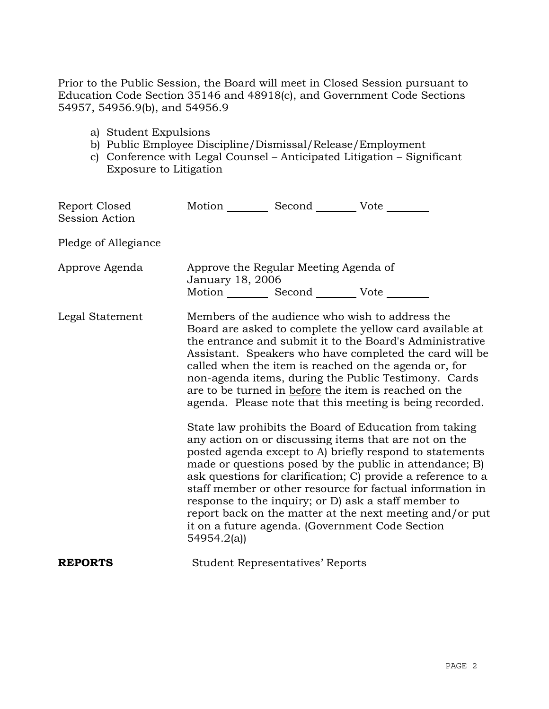Prior to the Public Session, the Board will meet in Closed Session pursuant to Education Code Section 35146 and 48918(c), and Government Code Sections 54957, 54956.9(b), and 54956.9

- a) Student Expulsions
- b) Public Employee Discipline/Dismissal/Release/Employment
- c) Conference with Legal Counsel Anticipated Litigation Significant Exposure to Litigation

| Report Closed<br><b>Session Action</b> | Motion __________ Second __________ Vote ________                                                            |                                         |                                                                                                                                                                                                                                                                                                                                                                                                                                                                                                                                                                                                                                                                                                                                                                                                                                                                                                                                                                                                                        |
|----------------------------------------|--------------------------------------------------------------------------------------------------------------|-----------------------------------------|------------------------------------------------------------------------------------------------------------------------------------------------------------------------------------------------------------------------------------------------------------------------------------------------------------------------------------------------------------------------------------------------------------------------------------------------------------------------------------------------------------------------------------------------------------------------------------------------------------------------------------------------------------------------------------------------------------------------------------------------------------------------------------------------------------------------------------------------------------------------------------------------------------------------------------------------------------------------------------------------------------------------|
| Pledge of Allegiance                   |                                                                                                              |                                         |                                                                                                                                                                                                                                                                                                                                                                                                                                                                                                                                                                                                                                                                                                                                                                                                                                                                                                                                                                                                                        |
| Approve Agenda                         | Approve the Regular Meeting Agenda of<br>January 18, 2006<br>Motion _________ Second _________ Vote ________ |                                         |                                                                                                                                                                                                                                                                                                                                                                                                                                                                                                                                                                                                                                                                                                                                                                                                                                                                                                                                                                                                                        |
| Legal Statement                        | 54954.2(a)                                                                                                   |                                         | Members of the audience who wish to address the<br>Board are asked to complete the yellow card available at<br>the entrance and submit it to the Board's Administrative<br>Assistant. Speakers who have completed the card will be<br>called when the item is reached on the agenda or, for<br>non-agenda items, during the Public Testimony. Cards<br>are to be turned in before the item is reached on the<br>agenda. Please note that this meeting is being recorded.<br>State law prohibits the Board of Education from taking<br>any action on or discussing items that are not on the<br>posted agenda except to A) briefly respond to statements<br>made or questions posed by the public in attendance; B)<br>ask questions for clarification; C) provide a reference to a<br>staff member or other resource for factual information in<br>response to the inquiry; or D) ask a staff member to<br>report back on the matter at the next meeting and/or put<br>it on a future agenda. (Government Code Section |
| <b>REPORTS</b>                         |                                                                                                              | <b>Student Representatives' Reports</b> |                                                                                                                                                                                                                                                                                                                                                                                                                                                                                                                                                                                                                                                                                                                                                                                                                                                                                                                                                                                                                        |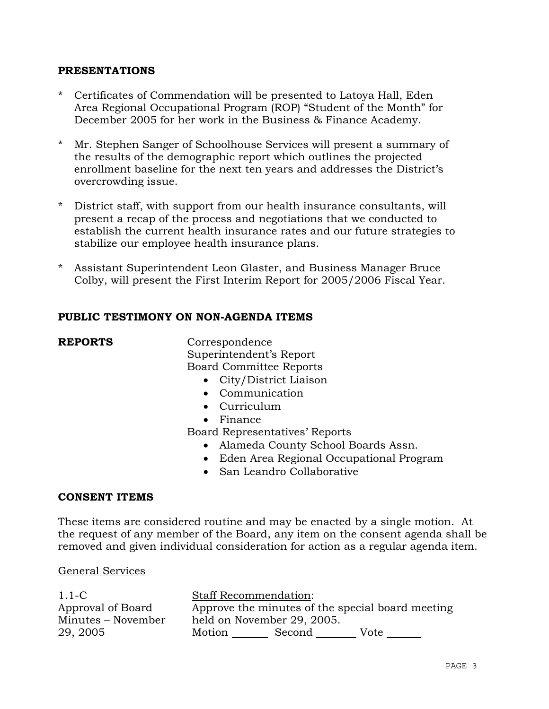## **PRESENTATIONS**

- \* Certificates of Commendation will be presented to Latoya Hall, Eden Area Regional Occupational Program (ROP) "Student of the Month" for December 2005 for her work in the Business & Finance Academy.
- \* Mr. Stephen Sanger of Schoolhouse Services will present a summary of the results of the demographic report which outlines the projected enrollment baseline for the next ten years and addresses the District's overcrowding issue.
- \* District staff, with support from our health insurance consultants, will present a recap of the process and negotiations that we conducted to establish the current health insurance rates and our future strategies to stabilize our employee health insurance plans.
- \* Assistant Superintendent Leon Glaster, and Business Manager Bruce Colby, will present the First Interim Report for 2005/2006 Fiscal Year.

# **PUBLIC TESTIMONY ON NON-AGENDA ITEMS**

**REPORTS** Correspondence Superintendent's Report Board Committee Reports

- City/District Liaison
- Communication
- Curriculum
- Finance

Board Representatives' Reports

- Alameda County School Boards Assn.
- Eden Area Regional Occupational Program
- San Leandro Collaborative

# **CONSENT ITEMS**

These items are considered routine and may be enacted by a single motion. At the request of any member of the Board, any item on the consent agenda shall be removed and given individual consideration for action as a regular agenda item.

## General Services

| $1.1-C$            | <b>Staff Recommendation:</b> |        |                                                  |
|--------------------|------------------------------|--------|--------------------------------------------------|
| Approval of Board  |                              |        | Approve the minutes of the special board meeting |
| Minutes – November | held on November 29, 2005.   |        |                                                  |
| 29, 2005           | Motion                       | Second | Vote                                             |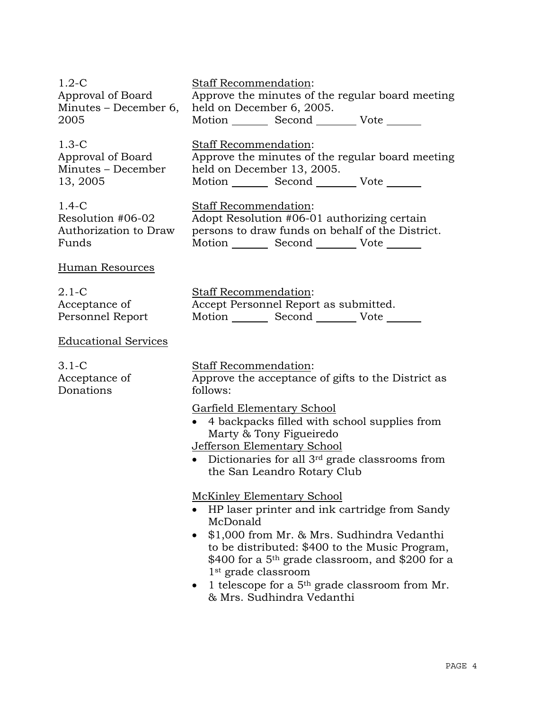1.2-C Approval of Board Minutes – December 6, 2005

1.3-C Approval of Board Minutes – December 13, 2005

1.4-C Resolution #06-02 Authorization to Draw Funds

Staff Recommendation: Approve the minutes of the regular board meeting held on December 6, 2005. Motion \_\_\_\_\_\_\_\_\_ Second \_\_\_\_\_\_\_\_\_ Vote \_\_\_\_\_\_\_

Staff Recommendation: Approve the minutes of the regular board meeting held on December 13, 2005. Motion Second Vote

Staff Recommendation: Adopt Resolution #06-01 authorizing certain persons to draw funds on behalf of the District. Motion Second Vote \_\_\_\_\_\_

Human Resources

| $2.1-C$          | <b>Staff Recommendation:</b>          |  |
|------------------|---------------------------------------|--|
| Acceptance of    | Accept Personnel Report as submitted. |  |
| Personnel Report | Motion<br>Vote<br>Second              |  |

Educational Services

3.1-C Acceptance of Donations

Staff Recommendation: Approve the acceptance of gifts to the District as follows:

Garfield Elementary School

- 4 backpacks filled with school supplies from Marty & Tony Figueiredo Jefferson Elementary School
- Dictionaries for all 3<sup>rd</sup> grade classrooms from the San Leandro Rotary Club

McKinley Elementary School

- HP laser printer and ink cartridge from Sandy McDonald
- \$1,000 from Mr. & Mrs. Sudhindra Vedanthi to be distributed: \$400 to the Music Program, \$400 for a 5th grade classroom, and \$200 for a 1st grade classroom
- $\bullet$  1 telescope for a 5<sup>th</sup> grade classroom from Mr. & Mrs. Sudhindra Vedanthi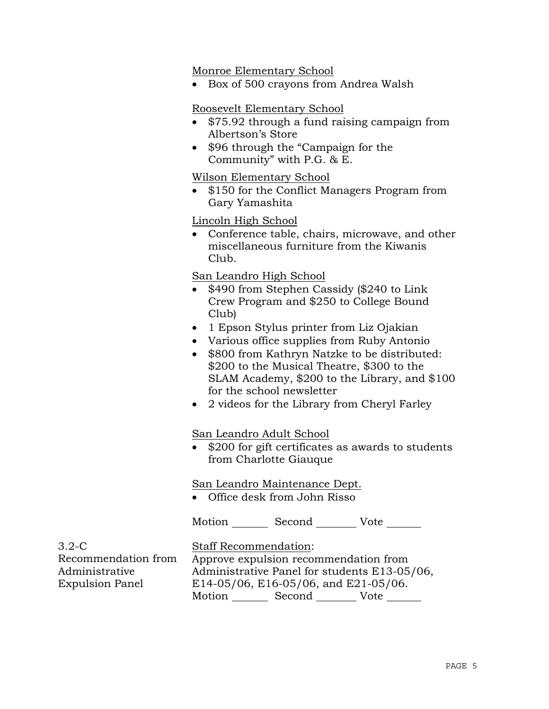# Monroe Elementary School

• Box of 500 crayons from Andrea Walsh

# Roosevelt Elementary School

- \$75.92 through a fund raising campaign from Albertson's Store
- \$96 through the "Campaign for the Community" with P.G. & E.

## Wilson Elementary School

• \$150 for the Conflict Managers Program from Gary Yamashita

## Lincoln High School

• Conference table, chairs, microwave, and other miscellaneous furniture from the Kiwanis  $C<sub>111</sub>h$ 

## San Leandro High School

- \$490 from Stephen Cassidy (\$240 to Link Crew Program and \$250 to College Bound Club)
- 1 Epson Stylus printer from Liz Ojakian
- Various office supplies from Ruby Antonio
- \$800 from Kathryn Natzke to be distributed: \$200 to the Musical Theatre, \$300 to the SLAM Academy, \$200 to the Library, and \$100 for the school newsletter
- 2 videos for the Library from Cheryl Farley

## San Leandro Adult School

• \$200 for gift certificates as awards to students from Charlotte Giauque

## San Leandro Maintenance Dept.

• Office desk from John Risso

Motion Second Vote

3.2-C Recommendation from Administrative Expulsion Panel

## Staff Recommendation:

Approve expulsion recommendation from Administrative Panel for students E13-05/06, E14-05/06, E16-05/06, and E21-05/06. Motion Second Vote \_\_\_\_\_\_\_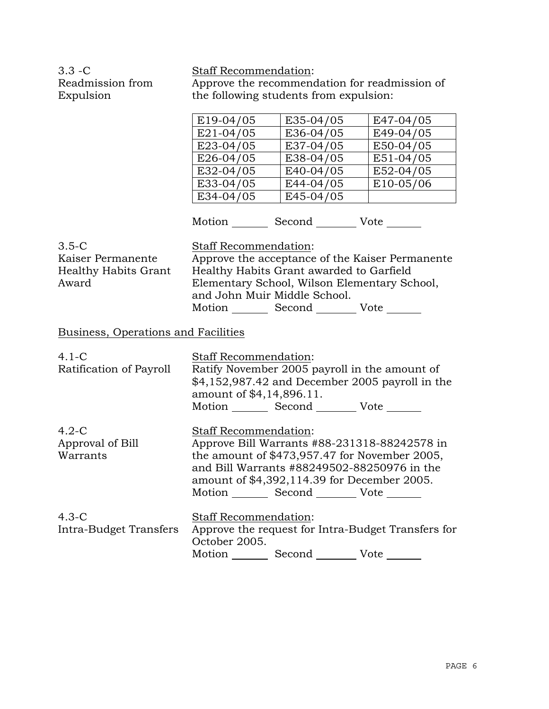| $3.3 - C$        |
|------------------|
| Readmission from |
| Expulsion        |

Staff Recommendation:

Approve the recommendation for readmission of the following students from expulsion:

|                                            | E19-04/05                                                                                                                                             | $E35-04/05$                                                                                                                                                                                                                                   | E47-04/05                                          |
|--------------------------------------------|-------------------------------------------------------------------------------------------------------------------------------------------------------|-----------------------------------------------------------------------------------------------------------------------------------------------------------------------------------------------------------------------------------------------|----------------------------------------------------|
|                                            | $E21-04/05$                                                                                                                                           | E36-04/05                                                                                                                                                                                                                                     | E49-04/05                                          |
|                                            | E23-04/05                                                                                                                                             | E37-04/05                                                                                                                                                                                                                                     | E50-04/05                                          |
|                                            | $E26-04/05$                                                                                                                                           | E38-04/05                                                                                                                                                                                                                                     | E51-04/05                                          |
|                                            | E32-04/05                                                                                                                                             | E40-04/05                                                                                                                                                                                                                                     | E52-04/05                                          |
|                                            | E33-04/05                                                                                                                                             | E44-04/05                                                                                                                                                                                                                                     | E10-05/06                                          |
|                                            | E34-04/05                                                                                                                                             | E45-04/05                                                                                                                                                                                                                                     |                                                    |
|                                            |                                                                                                                                                       | Motion Second Vote                                                                                                                                                                                                                            |                                                    |
| $3.5-C$                                    | <b>Staff Recommendation:</b>                                                                                                                          |                                                                                                                                                                                                                                               |                                                    |
| Kaiser Permanente                          |                                                                                                                                                       |                                                                                                                                                                                                                                               | Approve the acceptance of the Kaiser Permanente    |
| <b>Healthy Habits Grant</b>                |                                                                                                                                                       | Healthy Habits Grant awarded to Garfield                                                                                                                                                                                                      |                                                    |
| Award                                      |                                                                                                                                                       | Elementary School, Wilson Elementary School,                                                                                                                                                                                                  |                                                    |
|                                            | and John Muir Middle School.                                                                                                                          |                                                                                                                                                                                                                                               |                                                    |
|                                            |                                                                                                                                                       | Motion _________ Second __________ Vote _______                                                                                                                                                                                               |                                                    |
| <b>Business, Operations and Facilities</b> |                                                                                                                                                       |                                                                                                                                                                                                                                               |                                                    |
| $4.1 - C$<br>Ratification of Payroll       | Staff Recommendation:<br>Ratify November 2005 payroll in the amount of<br>\$4,152,987.42 and December 2005 payroll in the<br>amount of \$4,14,896.11. |                                                                                                                                                                                                                                               |                                                    |
|                                            |                                                                                                                                                       | Motion _________ Second __________ Vote _______                                                                                                                                                                                               |                                                    |
| $4.2-C$<br>Approval of Bill<br>Warrants    | Staff Recommendation:                                                                                                                                 | Approve Bill Warrants #88-231318-88242578 in<br>the amount of \$473,957.47 for November 2005,<br>and Bill Warrants #88249502-88250976 in the<br>amount of \$4,392,114.39 for December 2005.<br>Motion _________ Second _________ Vote _______ |                                                    |
|                                            |                                                                                                                                                       |                                                                                                                                                                                                                                               |                                                    |
| $4.3-C$                                    | Staff Recommendation:                                                                                                                                 |                                                                                                                                                                                                                                               |                                                    |
| Intra-Budget Transfers                     |                                                                                                                                                       |                                                                                                                                                                                                                                               | Approve the request for Intra-Budget Transfers for |
|                                            | October 2005.                                                                                                                                         |                                                                                                                                                                                                                                               |                                                    |
|                                            |                                                                                                                                                       | Motion _________ Second __________ Vote _____                                                                                                                                                                                                 |                                                    |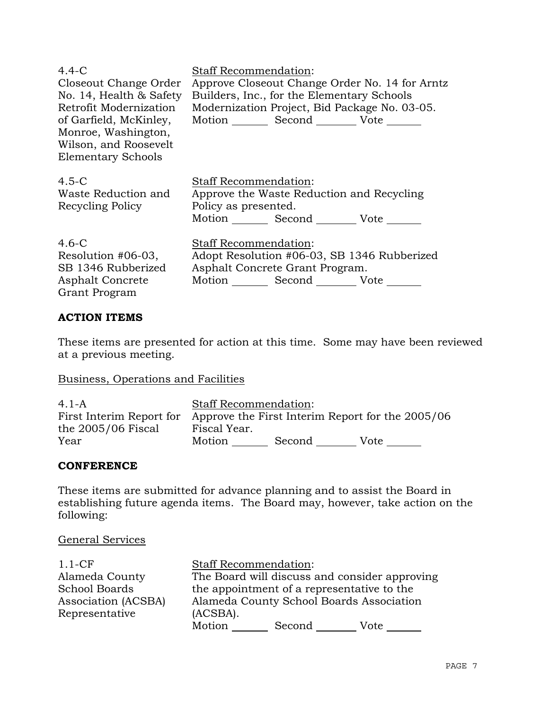| $4.4 - C$<br>Closeout Change Order<br>No. 14, Health & Safety<br>Retrofit Modernization<br>of Garfield, McKinley,<br>Monroe, Washington,<br>Wilson, and Roosevelt<br><b>Elementary Schools</b> | Staff Recommendation:<br>Approve Closeout Change Order No. 14 for Arntz<br>Builders, Inc., for the Elementary Schools<br>Modernization Project, Bid Package No. 03-05.<br>Motion Second Vote |
|------------------------------------------------------------------------------------------------------------------------------------------------------------------------------------------------|----------------------------------------------------------------------------------------------------------------------------------------------------------------------------------------------|
| $4.5 - C$<br>Waste Reduction and<br>Recycling Policy                                                                                                                                           | <b>Staff Recommendation:</b><br>Approve the Waste Reduction and Recycling<br>Policy as presented.<br>Motion Second Vote                                                                      |
| $4.6-C$<br>Resolution $#06-03$ ,<br>SB 1346 Rubberized<br><b>Asphalt Concrete</b><br>Grant Program                                                                                             | <b>Staff Recommendation:</b><br>Adopt Resolution #06-03, SB 1346 Rubberized<br>Asphalt Concrete Grant Program.<br>Motion Second Vote                                                         |

# **ACTION ITEMS**

These items are presented for action at this time. Some may have been reviewed at a previous meeting.

## Business, Operations and Facilities

| $4.1-A$                  | <b>Staff Recommendation:</b> |        |                                                  |
|--------------------------|------------------------------|--------|--------------------------------------------------|
| First Interim Report for |                              |        | Approve the First Interim Report for the 2005/06 |
| the $2005/06$ Fiscal     | Fiscal Year.                 |        |                                                  |
| Year                     | Motion                       | Second | Vote                                             |

## **CONFERENCE**

These items are submitted for advance planning and to assist the Board in establishing future agenda items. The Board may, however, take action on the following:

## General Services

| $1.1-CF$             | <b>Staff Recommendation:</b>                  |
|----------------------|-----------------------------------------------|
| Alameda County       | The Board will discuss and consider approving |
| <b>School Boards</b> | the appointment of a representative to the    |
| Association (ACSBA)  | Alameda County School Boards Association      |
| Representative       | (ACSBA).                                      |
|                      | Motion<br>Second<br>Vote                      |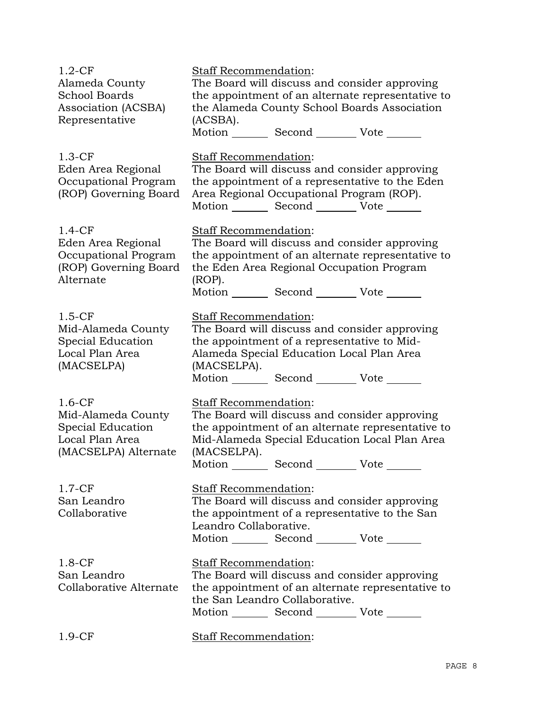| $1.2-CF$<br>Alameda County<br><b>School Boards</b><br>Association (ACSBA)<br>Representative    | Staff Recommendation:<br>The Board will discuss and consider approving<br>the appointment of an alternate representative to<br>the Alameda County School Boards Association<br>(ACSBA).<br>Motion _________ Second __________ Vote _______ |
|------------------------------------------------------------------------------------------------|--------------------------------------------------------------------------------------------------------------------------------------------------------------------------------------------------------------------------------------------|
| $1.3-CF$<br>Eden Area Regional<br>Occupational Program<br>(ROP) Governing Board                | <b>Staff Recommendation:</b><br>The Board will discuss and consider approving<br>the appointment of a representative to the Eden<br>Area Regional Occupational Program (ROP).<br>Motion _________ Second __________ Vote _______           |
| $1.4-CF$<br>Eden Area Regional<br>Occupational Program<br>(ROP) Governing Board<br>Alternate   | Staff Recommendation:<br>The Board will discuss and consider approving<br>the appointment of an alternate representative to<br>the Eden Area Regional Occupation Program<br>$(ROP)$ .<br>Motion Second Vote                                |
| $1.5-CF$<br>Mid-Alameda County<br>Special Education<br>Local Plan Area<br>(MACSELPA)           | Staff Recommendation:<br>The Board will discuss and consider approving<br>the appointment of a representative to Mid-<br>Alameda Special Education Local Plan Area<br>(MACSELPA).<br>Motion Second Vote                                    |
| $1.6-CF$<br>Mid-Alameda County<br>Special Education<br>Local Plan Area<br>(MACSELPA) Alternate | Staff Recommendation:<br>The Board will discuss and consider approving<br>the appointment of an alternate representative to<br>Mid-Alameda Special Education Local Plan Area<br>(MACSELPA).<br>Motion _________ Second _________ Vote _    |
| $1.7-CF$<br>San Leandro<br>Collaborative                                                       | Staff Recommendation:<br>The Board will discuss and consider approving<br>the appointment of a representative to the San<br>Leandro Collaborative.<br>Motion Second Vote                                                                   |
| $1.8-CF$<br>San Leandro<br>Collaborative Alternate                                             | Staff Recommendation:<br>The Board will discuss and consider approving<br>the appointment of an alternate representative to<br>the San Leandro Collaborative.<br>Motion _________ Second __________ Vote ______                            |
| $1.9-CF$                                                                                       | Staff Recommendation:                                                                                                                                                                                                                      |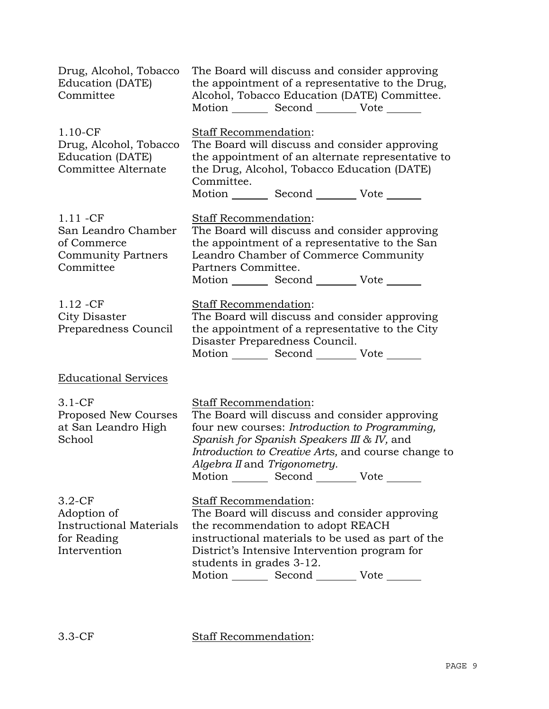| Drug, Alcohol, Tobacco<br>Education (DATE)<br>Committee                                     | The Board will discuss and consider approving<br>the appointment of a representative to the Drug,<br>Alcohol, Tobacco Education (DATE) Committee.<br>Motion _________ Second __________ Vote _______                                                                                                             |
|---------------------------------------------------------------------------------------------|------------------------------------------------------------------------------------------------------------------------------------------------------------------------------------------------------------------------------------------------------------------------------------------------------------------|
| $1.10-CF$<br>Drug, Alcohol, Tobacco<br>Education (DATE)<br>Committee Alternate              | Staff Recommendation:<br>The Board will discuss and consider approving<br>the appointment of an alternate representative to<br>the Drug, Alcohol, Tobacco Education (DATE)<br>Committee.<br>Motion _________ Second ___________ Vote _______                                                                     |
| $1.11 - CF$<br>San Leandro Chamber<br>of Commerce<br><b>Community Partners</b><br>Committee | Staff Recommendation:<br>The Board will discuss and consider approving<br>the appointment of a representative to the San<br>Leandro Chamber of Commerce Community<br>Partners Committee.<br>Motion _________ Second __________ Vote _______                                                                      |
| $1.12 - CF$<br>City Disaster<br>Preparedness Council                                        | Staff Recommendation:<br>The Board will discuss and consider approving<br>the appointment of a representative to the City<br>Disaster Preparedness Council.<br>Motion _________ Second __________ Vote _______                                                                                                   |
| <b>Educational Services</b>                                                                 |                                                                                                                                                                                                                                                                                                                  |
| $3.1 - CF$<br>Proposed New Courses<br>at San Leandro High<br>School                         | Staff Recommendation:<br>The Board will discuss and consider approving<br>four new courses: Introduction to Programming,<br>Spanish for Spanish Speakers III & IV, and<br>Introduction to Creative Arts, and course change to<br>Algebra II and Trigonometry.<br>Motion _________ Second __________ Vote _______ |
| $3.2-CF$<br>Adoption of<br><b>Instructional Materials</b><br>for Reading<br>Intervention    | <b>Staff Recommendation:</b><br>The Board will discuss and consider approving<br>the recommendation to adopt REACH<br>instructional materials to be used as part of the<br>District's Intensive Intervention program for<br>students in grades 3-12.<br>Motion _________ Second __________ Vote _______          |